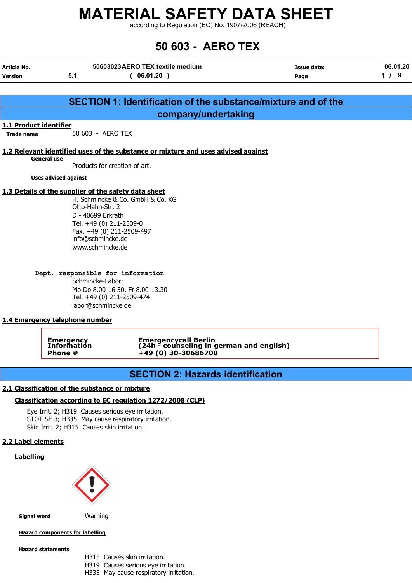according to Regulation (EC) No. 1907/2006 (REACH)

## 50 603 - AERO TEX

| <b>Article No.</b>             |                             | 50603023 AERO TEX textile medium                                                  | Issue date: | 06.01.20 |
|--------------------------------|-----------------------------|-----------------------------------------------------------------------------------|-------------|----------|
| <b>Version</b>                 | 5.1                         | 06.01.20)                                                                         | Page        | $1 / 9$  |
|                                |                             |                                                                                   |             |          |
|                                |                             | SECTION 1: Identification of the substance/mixture and of the                     |             |          |
|                                |                             | company/undertaking                                                               |             |          |
| 1.1 Product identifier         |                             |                                                                                   |             |          |
| <b>Trade name</b>              | 50 603 - AERO TEX           |                                                                                   |             |          |
|                                |                             |                                                                                   |             |          |
| <b>General use</b>             |                             | 1.2 Relevant identified uses of the substance or mixture and uses advised against |             |          |
|                                |                             | Products for creation of art.                                                     |             |          |
|                                | <b>Uses advised against</b> |                                                                                   |             |          |
|                                |                             | 1.3 Details of the supplier of the safety data sheet                              |             |          |
|                                |                             | H. Schmincke & Co. GmbH & Co. KG                                                  |             |          |
|                                | Otto-Hahn-Str. 2            |                                                                                   |             |          |
|                                | D - 40699 Erkrath           |                                                                                   |             |          |
|                                |                             | Tel. +49 (0) 211-2509-0                                                           |             |          |
|                                |                             | Fax. +49 (0) 211-2509-497                                                         |             |          |
|                                | info@schmincke.de           |                                                                                   |             |          |
|                                | www.schmincke.de            |                                                                                   |             |          |
|                                |                             |                                                                                   |             |          |
|                                | Schmincke-Labor:            | Dept. responsible for information                                                 |             |          |
|                                |                             |                                                                                   |             |          |
|                                |                             | Mo-Do 8.00-16.30, Fr 8.00-13.30<br>Tel. +49 (0) 211-2509-474                      |             |          |
|                                | labor@schmincke.de          |                                                                                   |             |          |
|                                |                             |                                                                                   |             |          |
| 1.4 Emergency telephone number |                             |                                                                                   |             |          |
|                                |                             |                                                                                   |             |          |

Emergency Emergencycall Berlin Information (24h - counseling in german and english) Phone #  $+49(0)30-30686700$ 

## SECTION 2: Hazards identification

#### 2.1 Classification of the substance or mixture

#### Classification according to EC regulation 1272/2008 (CLP)

Eye Irrit. 2; H319 Causes serious eye irritation. STOT SE 3; H335 May cause respiratory irritation. Skin Irrit. 2; H315 Causes skin irritation.

#### 2.2 Label elements

#### **Labelling**



**Signal word** Warning

Hazard components for labelling

#### Hazard statements

- H315 Causes skin irritation.
- H319 Causes serious eye irritation.
- H335 May cause respiratory irritation.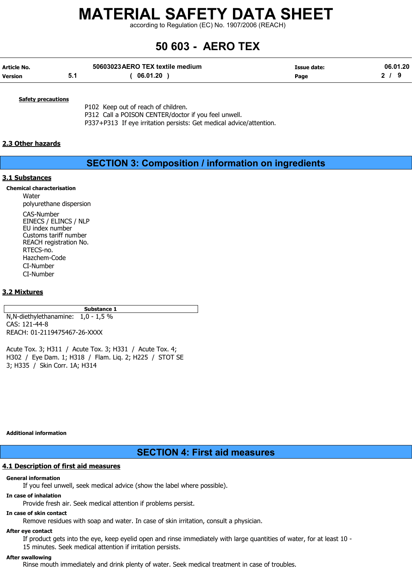according to Regulation (EC) No. 1907/2006 (REACH)

## 50 603 - AERO TEX

| Article No.    | 50603023 AERO TEX textile medium | Issue date: | 06.01.20 |
|----------------|----------------------------------|-------------|----------|
| <b>Version</b> | 06.01.20                         | Page        |          |

#### **Safety precautions**

P102 Keep out of reach of children. P312 Call a POISON CENTER/doctor if you feel unwell. P337+P313 If eye irritation persists: Get medical advice/attention.

#### 2.3 Other hazards

### SECTION 3: Composition / information on ingredients

#### 3.1 Substances

Chemical characterisation

Water polyurethane dispersion CAS-Number EINECS / ELINCS / NLP EU index number Customs tariff number REACH registration No. RTECS-no. Hazchem-Code CI-Number CI-Number

#### 3.2 Mixtures

Substance 1

N,N-diethylethanamine: 1,0 - 1,5 % CAS: 121-44-8 REACH: 01-2119475467-26-XXXX

Acute Tox. 3; H311 / Acute Tox. 3; H331 / Acute Tox. 4; H302 / Eye Dam. 1; H318 / Flam. Liq. 2; H225 / STOT SE 3; H335 / Skin Corr. 1A; H314

Additional information

### SECTION 4: First aid measures

#### 4.1 Description of first aid measures

#### General information

If you feel unwell, seek medical advice (show the label where possible).

#### In case of inhalation

Provide fresh air. Seek medical attention if problems persist.

#### In case of skin contact

Remove residues with soap and water. In case of skin irritation, consult a physician.

#### After eye contact

If product gets into the eye, keep eyelid open and rinse immediately with large quantities of water, for at least 10 - 15 minutes. Seek medical attention if irritation persists.

#### After swallowing

Rinse mouth immediately and drink plenty of water. Seek medical treatment in case of troubles.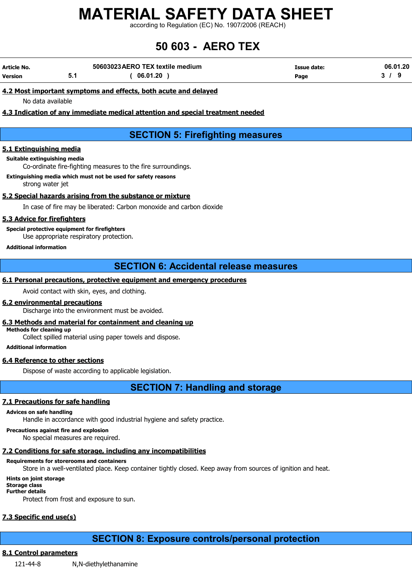according to Regulation (EC) No. 1907/2006 (REACH)

## 50 603 - AERO TEX

| Article No. | 50603023 AERO TEX textile medium | Issue date: | 06.01.20 |
|-------------|----------------------------------|-------------|----------|
| Version     | 06.01.20                         | Page        |          |

#### 4.2 Most important symptoms and effects, both acute and delayed

No data available

#### 4.3 Indication of any immediate medical attention and special treatment needed

## SECTION 5: Firefighting measures

#### 5.1 Extinguishing media

#### Suitable extinguishing media

Co-ordinate fire-fighting measures to the fire surroundings.

#### Extinguishing media which must not be used for safety reasons strong water jet

#### 5.2 Special hazards arising from the substance or mixture

In case of fire may be liberated: Carbon monoxide and carbon dioxide

#### 5.3 Advice for firefighters

Special protective equipment for firefighters Use appropriate respiratory protection.

#### Additional information

### SECTION 6: Accidental release measures

#### 6.1 Personal precautions, protective equipment and emergency procedures

Avoid contact with skin, eyes, and clothing.

#### 6.2 environmental precautions

Discharge into the environment must be avoided.

#### 6.3 Methods and material for containment and cleaning up

Methods for cleaning up

Collect spilled material using paper towels and dispose.

#### Additional information

#### 6.4 Reference to other sections

Dispose of waste according to applicable legislation.

SECTION 7: Handling and storage

#### 7.1 Precautions for safe handling

#### Advices on safe handling

Handle in accordance with good industrial hygiene and safety practice.

Precautions against fire and explosion

No special measures are required.

#### 7.2 Conditions for safe storage, including any incompatibilities

#### Requirements for storerooms and containers

Store in a well-ventilated place. Keep container tightly closed. Keep away from sources of ignition and heat.

#### Hints on joint storage Storage class

Further details

Protect from frost and exposure to sun.

## 7.3 Specific end use(s)

## SECTION 8: Exposure controls/personal protection

#### 8.1 Control parameters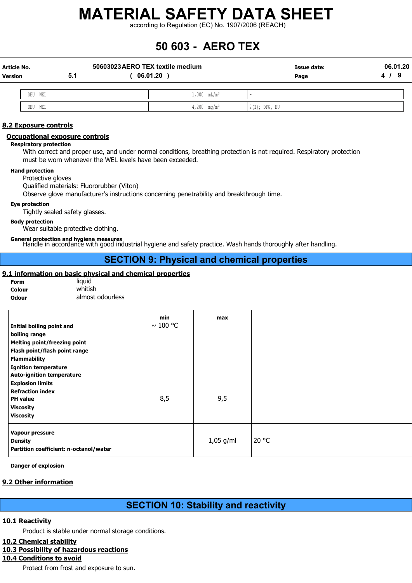according to Regulation (EC) No. 1907/2006 (REACH)

## 50 603 - AERO TEX

| Article No.<br>Version |     | 5.1 | 50603023 AERO TEX textile medium | 06.01.20 |                          | Issue date:<br>Page | 06.01.20<br>- 9<br>$\mathbf{A}$ $\mathbf{I}$ |
|------------------------|-----|-----|----------------------------------|----------|--------------------------|---------------------|----------------------------------------------|
|                        | DEU | WEL |                                  |          | $1,000 \, \text{mL/m}^3$ |                     |                                              |
|                        |     |     |                                  | . I      |                          |                     |                                              |

DEU WEL 4,200 mg/m³ 2(I); DFG, EU

#### 8.2 Exposure controls

#### Occupational exposure controls

#### Respiratory protection

With correct and proper use, and under normal conditions, breathing protection is not required. Respiratory protection must be worn whenever the WEL levels have been exceeded.

#### Hand protection

Protective gloves

Qualified materials: Fluororubber (Viton)

Observe glove manufacturer's instructions concerning penetrability and breakthrough time.

#### Eye protection

Tightly sealed safety glasses.

#### Body protection

Wear suitable protective clothing.

General protection and hygiene measures Handle in accordance with good industrial hygiene and safety practice. Wash hands thoroughly after handling.

### SECTION 9: Physical and chemical properties

#### 9.1 information on basic physical and chemical properties

| Form   | Ιiι |
|--------|-----|
| Colour | N   |
| Odour  | а   |

quid vhitish **Ilmost odourless** 

| Initial boiling point and<br>boiling range<br><b>Melting point/freezing point</b><br>Flash point/flash point range<br><b>Flammability</b><br><b>Ignition temperature</b> | min<br>$\sim$ 100 °C | max         |       |
|--------------------------------------------------------------------------------------------------------------------------------------------------------------------------|----------------------|-------------|-------|
| <b>Auto-ignition temperature</b><br><b>Explosion limits</b><br><b>Refraction index</b><br><b>PH</b> value<br><b>Viscosity</b><br><b>Viscosity</b>                        | 8,5                  | 9,5         |       |
| Vapour pressure<br><b>Density</b><br>Partition coefficient: n-octanol/water                                                                                              |                      | $1,05$ g/ml | 20 °C |

Danger of explosion

#### 9.2 Other information

## SECTION 10: Stability and reactivity

#### 10.1 Reactivity

Product is stable under normal storage conditions.

#### 10.2 Chemical stability

#### 10.3 Possibility of hazardous reactions

## 10.4 Conditions to avoid

Protect from frost and exposure to sun.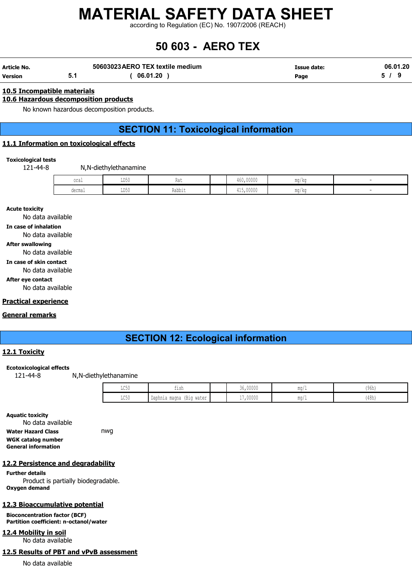according to Regulation (EC) No. 1907/2006 (REACH)

## 50 603 - AERO TEX

| Article No. | 50603023 AERO TEX textile medium | Issue date: | 06.01.20 |
|-------------|----------------------------------|-------------|----------|
| Version     | 06.01.20                         | Page        |          |

#### 10.5 Incompatible materials

#### 10.6 Hazardous decomposition products

No known hazardous decomposition products.

## SECTION 11: Toxicological information

#### 11.1 Information on toxicological effects

#### Toxicological tests

121-44-8 N,N-diethylethanamine

| oral                    | T R A<br>∪∪עע                  | na.    | 460,00000                                                                                                                    | ma/ka |  |
|-------------------------|--------------------------------|--------|------------------------------------------------------------------------------------------------------------------------------|-------|--|
| derma<br><b>WATHINT</b> | T <sub>D</sub><br><b>TIDYA</b> | Rabbit | 415,00000<br>the contract of the contract of the contract of the contract of the contract of the contract of the contract of | mg/kg |  |

Acute toxicity

No data available

In case of inhalation

No data available

After swallowing

#### No data available

In case of skin contact

No data available

After eye contact

No data available

#### Practical experience

#### General remarks

## SECTION 12: Ecological information

#### 12.1 Toxicity

Ecotoxicological effects

121-44-8 N,N-diethylethanamine

| $T \cap \Gamma$<br>エレマカ | <sub>ົ່</sub> າ ເh<br>ᆂᆂᇦᆄ                         | 36,00000               | $mq/$ . | (96h) |
|-------------------------|----------------------------------------------------|------------------------|---------|-------|
| $T \cap E$<br>せいりい      | Daphnia magna<br>water<br>- 1 - 1 - 1<br>∖ – – – – | 17,00000<br>$\sim$ $-$ | ma/.    | (48h) |

Aquatic toxicity No data available Water Hazard Class **nwg** WGK catalog number General information

#### 12.2 Persistence and degradability

Further details Product is partially biodegradable. Oxygen demand

#### 12.3 Bioaccumulative potential

Bioconcentration factor (BCF) Partition coefficient: n-octanol/water

12.4 Mobility in soil

No data available

#### 12.5 Results of PBT and vPvB assessment

No data available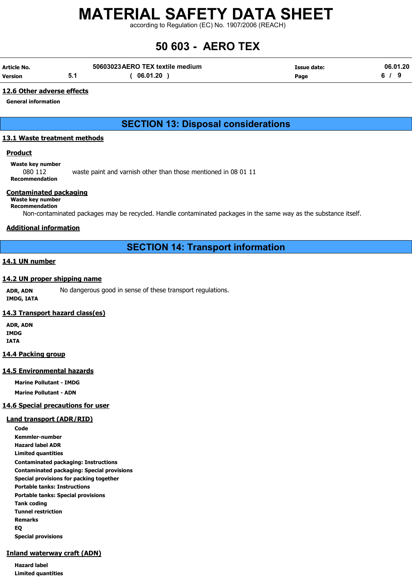according to Regulation (EC) No. 1907/2006 (REACH)

## 50 603 - AERO TEX

| Article No. |     | 50603023 AERO TEX textile medium | Issue date: | 06.01.20 |
|-------------|-----|----------------------------------|-------------|----------|
| Version     | 5.1 | 06.01.20                         | Page        |          |

#### 12.6 Other adverse effects

General information

## SECTION 13: Disposal considerations

#### 13.1 Waste treatment methods

#### **Product**

Waste key number

080 112 waste paint and varnish other than those mentioned in 08 01 11 Recommendation

#### Contaminated packaging

### Waste key number

Recommendation

Non-contaminated packages may be recycled. Handle contaminated packages in the same way as the substance itself.

#### Additional information

## SECTION 14: Transport information

#### 14.1 UN number

#### 14.2 UN proper shipping name

ADR, ADN No dangerous good in sense of these transport regulations. IMDG, IATA

#### 14.3 Transport hazard class(es)

ADR, ADN IMDG IATA

#### 14.4 Packing group

#### 14.5 Environmental hazards

Marine Pollutant - IMDG Marine Pollutant - ADN

#### 14.6 Special precautions for user

#### Land transport (ADR/RID)

Code Kemmler-number Hazard label ADR Limited quantities Contaminated packaging: Instructions Contaminated packaging: Special provisions Special provisions for packing together Portable tanks: Instructions Portable tanks: Special provisions Tank coding Tunnel restriction Remarks EQ Special provisions

#### Inland waterway craft (ADN)

Hazard label Limited quantities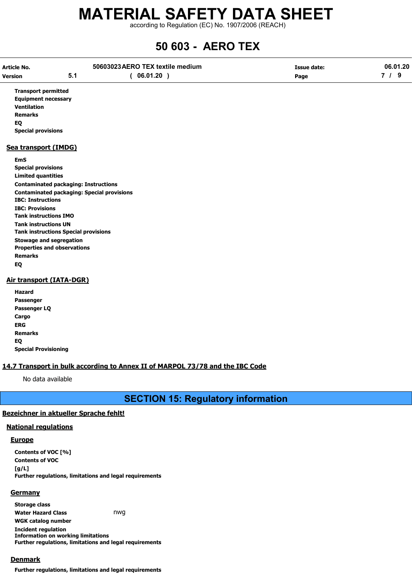according to Regulation (EC) No. 1907/2006 (REACH)

## 50 603 - AERO TEX

| <b>Article No.</b>           |                                                   | 50603023 AERO TEX textile medium | <b>Issue date:</b> | 06.01.20 |  |
|------------------------------|---------------------------------------------------|----------------------------------|--------------------|----------|--|
| <b>Version</b>               | 5.1                                               | (06.01.20)                       | Page               | 7/9      |  |
| <b>Transport permitted</b>   |                                                   |                                  |                    |          |  |
| <b>Equipment necessary</b>   |                                                   |                                  |                    |          |  |
| <b>Ventilation</b>           |                                                   |                                  |                    |          |  |
| <b>Remarks</b>               |                                                   |                                  |                    |          |  |
| EQ                           |                                                   |                                  |                    |          |  |
| <b>Special provisions</b>    |                                                   |                                  |                    |          |  |
| Sea transport (IMDG)         |                                                   |                                  |                    |          |  |
| <b>EmS</b>                   |                                                   |                                  |                    |          |  |
| <b>Special provisions</b>    |                                                   |                                  |                    |          |  |
| <b>Limited quantities</b>    |                                                   |                                  |                    |          |  |
|                              | <b>Contaminated packaging: Instructions</b>       |                                  |                    |          |  |
|                              | <b>Contaminated packaging: Special provisions</b> |                                  |                    |          |  |
| <b>IBC: Instructions</b>     |                                                   |                                  |                    |          |  |
| <b>IBC: Provisions</b>       |                                                   |                                  |                    |          |  |
| <b>Tank instructions IMO</b> |                                                   |                                  |                    |          |  |
| <b>Tank instructions UN</b>  |                                                   |                                  |                    |          |  |
|                              | <b>Tank instructions Special provisions</b>       |                                  |                    |          |  |
|                              | <b>Stowage and segregation</b>                    |                                  |                    |          |  |
|                              | <b>Properties and observations</b>                |                                  |                    |          |  |
| <b>Remarks</b>               |                                                   |                                  |                    |          |  |
| EQ                           |                                                   |                                  |                    |          |  |
|                              | <b>Air transport (IATA-DGR)</b>                   |                                  |                    |          |  |

#### Hazard Passenger Passenger LQ Cargo ERG

Remarks EQ

Special Provisioning

#### 14.7 Transport in bulk according to Annex II of MARPOL 73/78 and the IBC Code

No data available

SECTION 15: Regulatory information

#### Bezeichner in aktueller Sprache fehlt!

#### National regulations

#### **Europe**

Contents of VOC [%] Contents of VOC  $[g/L]$ Further regulations, limitations and legal requirements

#### **Germany**

Storage class Water Hazard Class **nwg** WGK catalog number Incident regulation Information on working limitations Further regulations, limitations and legal requirements

#### Denmark

Further regulations, limitations and legal requirements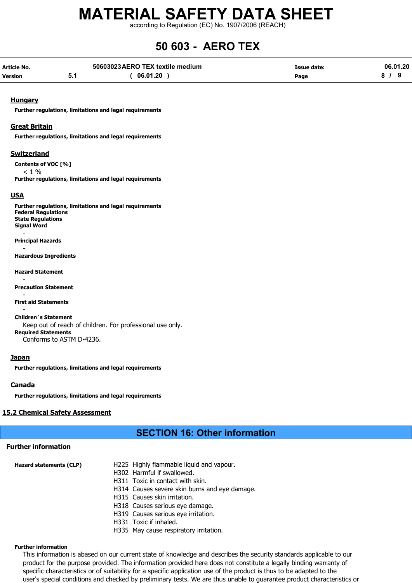according to Regulation (EC) No. 1907/2006 (REACH)

## 50 603 - AERO TEX

| Article No.    | 50603023 AERO TEX textile medium | Issue date: | 06.01.20 |
|----------------|----------------------------------|-------------|----------|
| <b>Version</b> | 06.01.20                         | Page        |          |

#### **Hungary**

Further regulations, limitations and legal requirements

#### Great Britain

Further regulations, limitations and legal requirements

#### **Switzerland**

Contents of VOC [%]  $< 1 %$ Further regulations, limitations and legal requirements

#### USA

Further regulations, limitations and legal requirements Federal Regulations State Regulations Signal Word - Principal Hazards - Hazardous Ingredients

Hazard Statement

- Precaution Statement

- First aid Statements

- Children´s Statement Keep out of reach of children. For professional use only. Required Statements Conforms to ASTM D-4236.

#### **Japan**

Further regulations, limitations and legal requirements

#### **Canada**

Further regulations, limitations and legal requirements

#### 15.2 Chemical Safety Assessment

### SECTION 16: Other information

#### Further information

| <b>Hazard statements (CLP)</b> | H225 Highly flammable liquid and vapour.      |
|--------------------------------|-----------------------------------------------|
|                                | H302 Harmful if swallowed.                    |
|                                | H311 Toxic in contact with skin.              |
|                                | H314 Causes severe skin burns and eye damage. |
|                                | H315 Causes skin irritation.                  |
|                                | H318 Causes serious eye damage.               |
|                                | H319 Causes serious eye irritation.           |
|                                | H331 Toxic if inhaled.                        |
|                                |                                               |

H335 May cause respiratory irritation.

#### Further information

This information is abased on our current state of knowledge and describes the security standards applicable to our product for the purpose provided. The information provided here does not constitute a legally binding warranty of specific characteristics or of suitability for a specific application use of the product is thus to be adapted to the user's special conditions and checked by preliminary tests. We are thus unable to guarantee product characteristics or